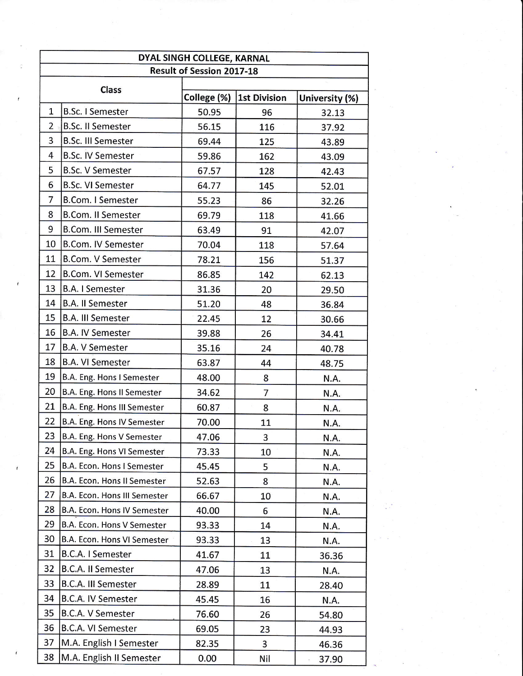| DYAL SINGH COLLEGE, KARNAL       |                              |             |                     |                |  |  |  |
|----------------------------------|------------------------------|-------------|---------------------|----------------|--|--|--|
| <b>Result of Session 2017-18</b> |                              |             |                     |                |  |  |  |
| Class                            |                              | College (%) | <b>1st Division</b> | University (%) |  |  |  |
| 1                                | <b>B.Sc. I Semester</b>      | 50.95       | 96                  | 32.13          |  |  |  |
| 2                                | <b>B.Sc. II Semester</b>     | 56.15       | 116                 | 37.92          |  |  |  |
| 3                                | <b>B.Sc. III Semester</b>    | 69.44       | 125                 | 43.89          |  |  |  |
| 4                                | <b>B.Sc. IV Semester</b>     | 59.86       | 162                 | 43.09          |  |  |  |
| 5                                | <b>B.Sc. V Semester</b>      | 67.57       | 128                 | 42.43          |  |  |  |
| 6                                | <b>B.Sc. VI Semester</b>     | 64.77       | 145                 | 52.01          |  |  |  |
| $\overline{7}$                   | <b>B.Com. I Semester</b>     | 55.23       | 86                  | 32.26          |  |  |  |
| 8                                | <b>B.Com. II Semester</b>    | 69.79       | 118                 | 41.66          |  |  |  |
| 9                                | <b>B.Com. III Semester</b>   | 63.49       | 91                  | 42.07          |  |  |  |
| 10                               | <b>B.Com. IV Semester</b>    | 70.04       | 118                 | 57.64          |  |  |  |
| 11                               | <b>B.Com. V Semester</b>     | 78.21       | 156                 | 51.37          |  |  |  |
| 12                               | <b>B.Com. VI Semester</b>    | 86.85       | 142                 | 62.13          |  |  |  |
| 13                               | <b>B.A. I Semester</b>       | 31.36       | 20                  | 29.50          |  |  |  |
| 14                               | <b>B.A. II Semester</b>      | 51.20       | 48                  | 36.84          |  |  |  |
| 15                               | <b>B.A. III Semester</b>     | 22.45       | 12                  | 30.66          |  |  |  |
| 16                               | <b>B.A. IV Semester</b>      | 39.88       | 26                  | 34.41          |  |  |  |
| 17                               | <b>B.A. V Semester</b>       | 35.16       | 24                  | 40.78          |  |  |  |
| 18                               | <b>B.A. VI Semester</b>      | 63.87       | 44                  | 48.75          |  |  |  |
| 19                               | B.A. Eng. Hons I Semester    | 48.00       | 8                   | N.A.           |  |  |  |
| 20                               | B.A. Eng. Hons II Semester   | 34.62       | 7                   | N.A.           |  |  |  |
| 21                               | B.A. Eng. Hons III Semester  | 60.87       | 8                   | N.A.           |  |  |  |
| 22                               | B.A. Eng. Hons IV Semester   | 70.00       | 11                  | N.A.           |  |  |  |
| 23                               | B.A. Eng. Hons V Semester    | 47.06       | 3                   | N.A.           |  |  |  |
| 24                               | B.A. Eng. Hons VI Semester   | 73.33       | 10                  | N.A.           |  |  |  |
| 25                               | B.A. Econ. Hons I Semester   | 45.45       | 5                   | <b>N.A.</b>    |  |  |  |
| 26                               | B.A. Econ. Hons II Semester  | 52.63       | 8                   | N.A.           |  |  |  |
| 27                               | B.A. Econ. Hons III Semester | 66.67       | 10                  | N.A.           |  |  |  |
| 28                               | B.A. Econ. Hons IV Semester  | 40.00       | 6                   | N.A.           |  |  |  |
| 29                               | B.A. Econ. Hons V Semester   | 93.33       | 14                  | N.A.           |  |  |  |
| 30                               | B.A. Econ. Hons VI Semester  | 93.33       | 13                  | N.A.           |  |  |  |
| 31                               | <b>B.C.A. I Semester</b>     | 41.67       | 11                  | 36.36          |  |  |  |
| 32                               | <b>B.C.A. II Semester</b>    | 47.06       | 13                  | N.A.           |  |  |  |
| 33                               | B.C.A. III Semester          | 28.89       | 11                  | 28.40          |  |  |  |
| 34                               | B.C.A. IV Semester           | 45.45       | 16                  | N.A.           |  |  |  |
| 35                               | B.C.A. V Semester            | 76.60       | 26                  | 54.80          |  |  |  |
| 36                               | B.C.A. VI Semester           | 69.05       | 23                  | 44.93          |  |  |  |
| 37                               | M.A. English I Semester      | 82.35       | 3                   | 46.36          |  |  |  |
| 38                               | M.A. English II Semester     | 0.00        | Nil                 | 37.90          |  |  |  |